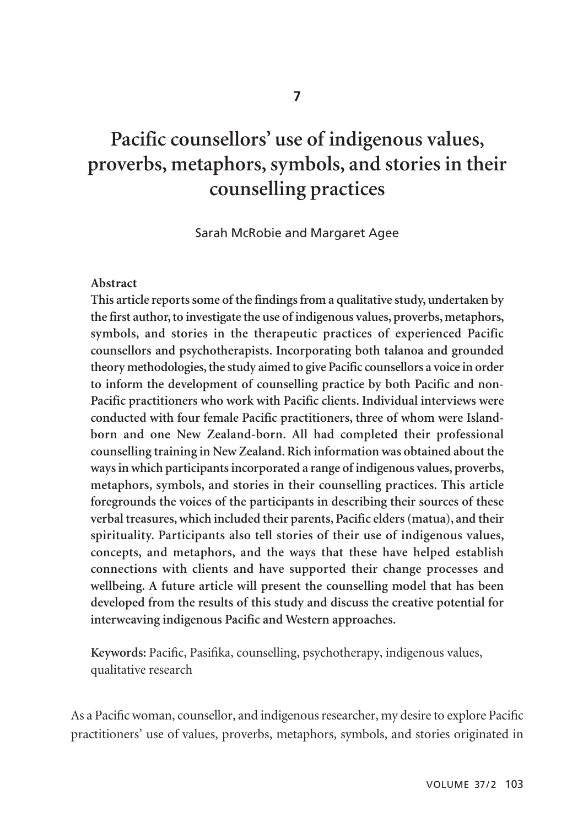# **Pacific counsellors' use of indigenous values, proverbs, metaphors, symbols, and stories in their counselling practices**

Sarah McRobie and Margaret Agee

#### **Abstract**

**This article reports some of the findings from a qualitative study, undertaken by the first author, to investigate the use of indigenous values, proverbs, metaphors, symbols, and stories in the therapeutic practices of experienced Pacific counsellors and psychotherapists. Incorporating both talanoa and grounded theory methodologies, the study aimed to give Pacific counsellors a voice in order to inform the development of counselling practice by both Pacific and non-Pacific practitioners who work with Pacific clients. Individual interviews were conducted with four female Pacific practitioners, three of whom were Islandborn and one New Zealand-born. All had completed their professional counselling training in New Zealand. Rich information was obtained about the ways in which participants incorporated a range of indigenous values, proverbs, metaphors, symbols, and stories in their counselling practices. This article foregrounds the voices of the participants in describing their sources of these verbal treasures, which included their parents, Pacific elders (matua), and their spirituality. Participants also tell stories of their use of indigenous values, concepts, and metaphors, and the ways that these have helped establish connections with clients and have supported their change processes and wellbeing. A future article will present the counselling model that has been developed from the results of this study and discuss the creative potential for interweaving indigenous Pacific and Western approaches.** 

**Keywords:** Pacific, Pasifika, counselling, psychotherapy, indigenous values, qualitative research

As a Pacific woman, counsellor, and indigenous researcher, my desire to explore Pacific practitioners' use of values, proverbs, metaphors, symbols, and stories originated in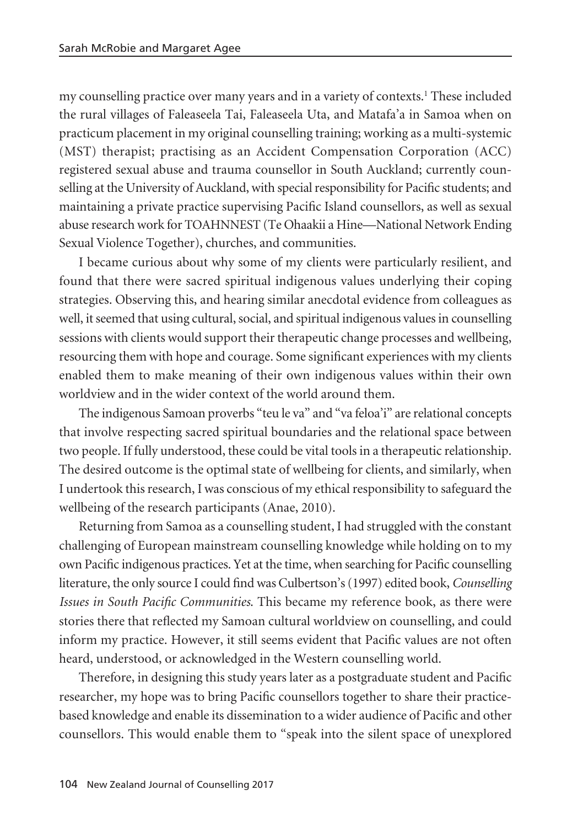my counselling practice over many years and in a variety of contexts.1 These included the rural villages of Faleaseela Tai, Faleaseela Uta, and Matafa'a in Samoa when on practicum placement in my original counselling training; working as a multi-systemic (MST) therapist; practising as an Accident Compensation Corporation (ACC) registered sexual abuse and trauma counsellor in South Auckland; currently counselling at the University of Auckland, with special responsibility for Pacific students; and maintaining a private practice supervising Pacific Island counsellors, as well as sexual abuse research work for TOAHNNEST (Te Ohaakii a Hine—National Network Ending Sexual Violence Together), churches, and communities.

I became curious about why some of my clients were particularly resilient, and found that there were sacred spiritual indigenous values underlying their coping strategies. Observing this, and hearing similar anecdotal evidence from colleagues as well, it seemed that using cultural, social, and spiritual indigenous values in counselling sessions with clients would support their therapeutic change processes and wellbeing, resourcing them with hope and courage. Some significant experiences with my clients enabled them to make meaning of their own indigenous values within their own worldview and in the wider context of the world around them.

The indigenous Samoan proverbs "teu le va" and "va feloa'i" are relational concepts that involve respecting sacred spiritual boundaries and the relational space between two people. If fully understood, these could be vital tools in a therapeutic relationship. The desired outcome is the optimal state of wellbeing for clients, and similarly, when I undertook this research, I was conscious of my ethical responsibility to safeguard the wellbeing of the research participants (Anae, 2010).

Returning from Samoa as a counselling student, I had struggled with the constant challenging of European mainstream counselling knowledge while holding on to my own Pacific indigenous practices. Yet at the time, when searching for Pacific counselling literature, the only source I could find was Culbertson's (1997) edited book, *Counselling Issues in South Pacific Communities*. This became my reference book, as there were stories there that reflected my Samoan cultural worldview on counselling, and could inform my practice. However, it still seems evident that Pacific values are not often heard, understood, or acknowledged in the Western counselling world.

Therefore, in designing this study years later as a postgraduate student and Pacific researcher, my hope was to bring Pacific counsellors together to share their practicebased knowledge and enable its dissemination to a wider audience of Pacific and other counsellors. This would enable them to "speak into the silent space of unexplored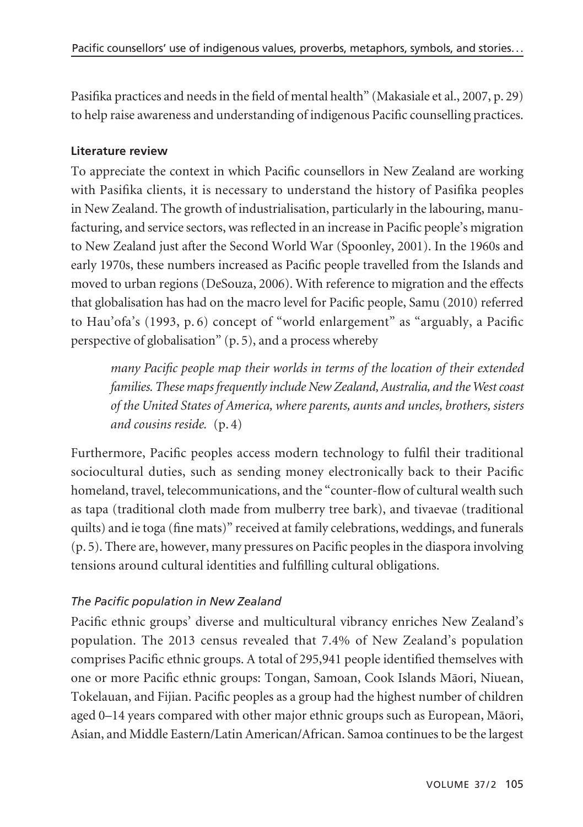Pasifika practices and needs in the field of mental health" (Makasiale et al., 2007, p. 29) to help raise awareness and understanding of indigenous Pacific counselling practices.

#### **Literature review**

To appreciate the context in which Pacific counsellors in New Zealand are working with Pasifika clients, it is necessary to understand the history of Pasifika peoples in New Zealand. The growth of industrialisation, particularly in the labouring, manufacturing, and service sectors, was reflected in an increase in Pacific people's migration to New Zealand just after the Second World War (Spoonley, 2001). In the 1960s and early 1970s, these numbers increased as Pacific people travelled from the Islands and moved to urban regions (DeSouza, 2006). With reference to migration and the effects that globalisation has had on the macro level for Pacific people, Samu (2010) referred to Hau'ofa's (1993, p. 6) concept of "world enlargement" as "arguably, a Pacific perspective of globalisation" (p. 5), and a process whereby

*many Pacific people map their worlds in terms of the location of their extended families. These maps frequently include New Zealand, Australia, and the West coast of the United States of America, where parents, aunts and uncles, brothers, sisters and cousins reside.* (p. 4)

Furthermore, Pacific peoples access modern technology to fulfil their traditional sociocultural duties, such as sending money electronically back to their Pacific homeland, travel, telecommunications, and the "counter-flow of cultural wealth such as tapa (traditional cloth made from mulberry tree bark), and tivaevae (traditional quilts) and ie toga (fine mats)" received at family celebrations, weddings, and funerals (p. 5). There are, however, many pressures on Pacific peoples in the diaspora involving tensions around cultural identities and fulfilling cultural obligations.

#### *The Pacific population in New Zealand*

Pacific ethnic groups' diverse and multicultural vibrancy enriches New Zealand's population. The 2013 census revealed that 7.4% of New Zealand's population comprises Pacific ethnic groups. A total of 295,941 people identified themselves with one or more Pacific ethnic groups: Tongan, Samoan, Cook Islands Mäori, Niuean, Tokelauan, and Fijian. Pacific peoples as a group had the highest number of children aged 0–14 years compared with other major ethnic groups such as European, Mäori, Asian, and Middle Eastern/Latin American/African. Samoa continues to be the largest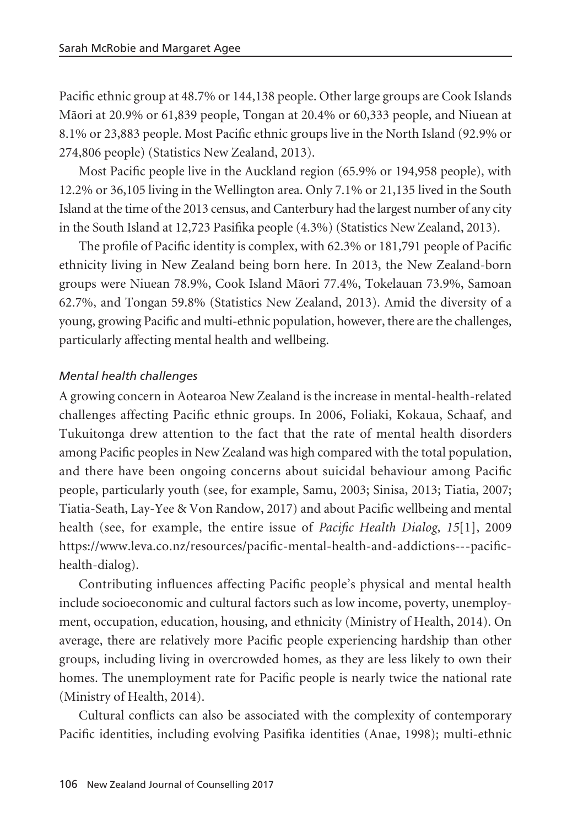Pacific ethnic group at 48.7% or 144,138 people. Other large groups are Cook Islands Mäori at 20.9% or 61,839 people, Tongan at 20.4% or 60,333 people, and Niuean at 8.1% or 23,883 people. Most Pacific ethnic groups live in the North Island (92.9% or 274,806 people) (Statistics New Zealand, 2013).

Most Pacific people live in the Auckland region (65.9% or 194,958 people), with 12.2% or 36,105 living in the Wellington area. Only 7.1% or 21,135 lived in the South Island at the time of the 2013 census, and Canterbury had the largest number of any city in the South Island at 12,723 Pasifika people (4.3%) (Statistics New Zealand, 2013).

The profile of Pacific identity is complex, with 62.3% or 181,791 people of Pacific ethnicity living in New Zealand being born here. In 2013, the New Zealand-born groups were Niuean 78.9%, Cook Island Mäori 77.4%, Tokelauan 73.9%, Samoan 62.7%, and Tongan 59.8% (Statistics New Zealand, 2013). Amid the diversity of a young, growing Pacific and multi-ethnic population, however, there are the challenges, particularly affecting mental health and wellbeing.

#### *Mental health challenges*

A growing concern in Aotearoa New Zealand is the increase in mental-health-related challenges affecting Pacific ethnic groups. In 2006, Foliaki, Kokaua, Schaaf, and Tukuitonga drew attention to the fact that the rate of mental health disorders among Pacific peoples in New Zealand was high compared with the total population, and there have been ongoing concerns about suicidal behaviour among Pacific people, particularly youth (see, for example, Samu, 2003; Sinisa, 2013; Tiatia, 2007; Tiatia-Seath, Lay-Yee & Von Randow, 2017) and about Pacific wellbeing and mental health (see, for example, the entire issue of *Pacific Health Dialog*, *15*[1], 2009 https://www.leva.co.nz/resources/pacific-mental-health-and-addictions---pacifichealth-dialog).

Contributing influences affecting Pacific people's physical and mental health include socioeconomic and cultural factors such as low income, poverty, unemployment, occupation, education, housing, and ethnicity (Ministry of Health, 2014). On average, there are relatively more Pacific people experiencing hardship than other groups, including living in overcrowded homes, as they are less likely to own their homes. The unemployment rate for Pacific people is nearly twice the national rate (Ministry of Health, 2014).

Cultural conflicts can also be associated with the complexity of contemporary Pacific identities, including evolving Pasifika identities (Anae, 1998); multi-ethnic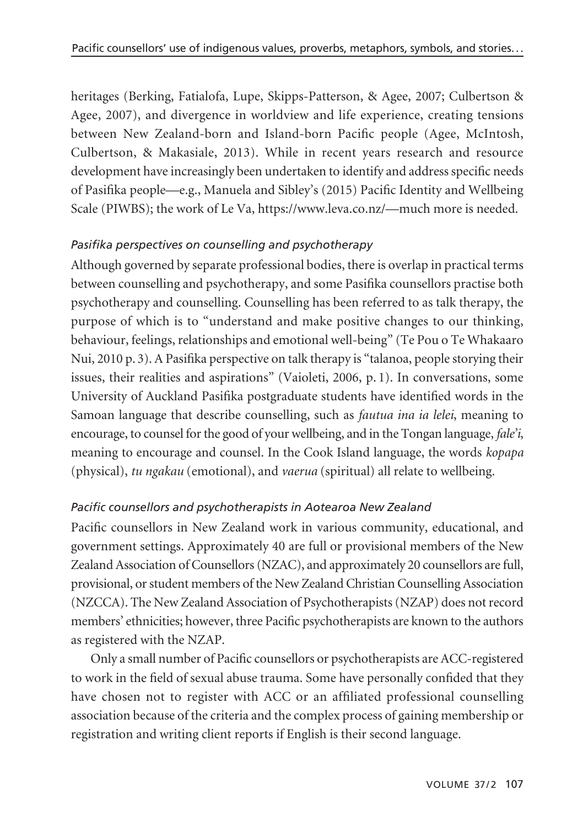heritages (Berking, Fatialofa, Lupe, Skipps-Patterson, & Agee, 2007; Culbertson & Agee, 2007), and divergence in worldview and life experience, creating tensions between New Zealand-born and Island-born Pacific people (Agee, McIntosh, Culbertson, & Makasiale, 2013). While in recent years research and resource development have increasingly been undertaken to identify and address specific needs of Pasifika people—e.g., Manuela and Sibley's (2015) Pacific Identity and Wellbeing Scale (PIWBS); the work of Le Va, https://www.leva.co.nz/—much more is needed.

#### *Pasifika perspectives on counselling and psychotherapy*

Although governed by separate professional bodies, there is overlap in practical terms between counselling and psychotherapy, and some Pasifika counsellors practise both psychotherapy and counselling. Counselling has been referred to as talk therapy, the purpose of which is to "understand and make positive changes to our thinking, behaviour, feelings, relationships and emotional well-being" (Te Pou o Te Whakaaro Nui, 2010 p. 3). A Pasifika perspective on talk therapy is "talanoa, people storying their issues, their realities and aspirations" (Vaioleti, 2006, p. 1). In conversations, some University of Auckland Pasifika postgraduate students have identified words in the Samoan language that describe counselling, such as *fautua ina ia lelei*, meaning to encourage, to counsel for the good of your wellbeing, and in the Tongan language, *fale'i*, meaning to encourage and counsel. In the Cook Island language, the words *kopapa* (physical), *tu ngakau* (emotional), and *vaerua* (spiritual) all relate to wellbeing.

#### *Pacific counsellors and psychotherapists in Aotearoa New Zealand*

Pacific counsellors in New Zealand work in various community, educational, and government settings. Approximately 40 are full or provisional members of the New Zealand Association of Counsellors (NZAC), and approximately 20 counsellors are full, provisional, or student members of the New Zealand Christian Counselling Association (NZCCA). The New Zealand Association of Psychotherapists (NZAP) does not record members' ethnicities; however, three Pacific psychotherapists are known to the authors as registered with the NZAP.

Only a small number of Pacific counsellors or psychotherapists are ACC-registered to work in the field of sexual abuse trauma. Some have personally confided that they have chosen not to register with ACC or an affiliated professional counselling association because of the criteria and the complex process of gaining membership or registration and writing client reports if English is their second language.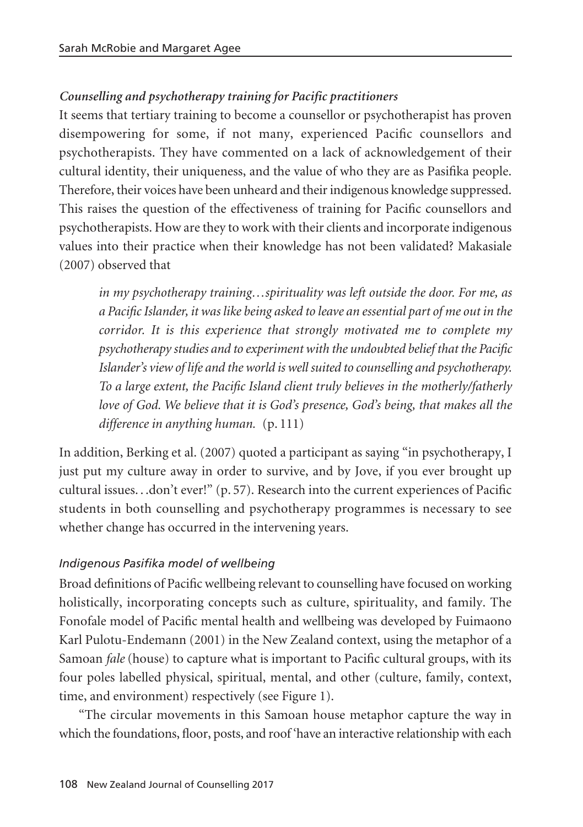# *Counselling and psychotherapy training for Pacific practitioners*

It seems that tertiary training to become a counsellor or psychotherapist has proven disempowering for some, if not many, experienced Pacific counsellors and psychotherapists. They have commented on a lack of acknowledgement of their cultural identity, their uniqueness, and the value of who they are as Pasifika people. Therefore, their voices have been unheard and their indigenous knowledge suppressed. This raises the question of the effectiveness of training for Pacific counsellors and psychotherapists. How are they to work with their clients and incorporate indigenous values into their practice when their knowledge has not been validated? Makasiale (2007) observed that

*in my psychotherapy training…spirituality was left outside the door. For me, as a Pacific Islander, it was like being asked to leave an essential part of me out in the corridor. It is this experience that strongly motivated me to complete my psychotherapy studies and to experiment with the undoubted belief that the Pacific Islander's view of life and the world is well suited to counselling and psychotherapy. To a large extent, the Pacific Island client truly believes in the motherly/fatherly love of God. We believe that it is God's presence, God's being, that makes all the difference in anything human.* (p. 111)

In addition, Berking et al. (2007) quoted a participant as saying "in psychotherapy, I just put my culture away in order to survive, and by Jove, if you ever brought up cultural issues. . .don't ever!" (p. 57). Research into the current experiences of Pacific students in both counselling and psychotherapy programmes is necessary to see whether change has occurred in the intervening years.

#### *Indigenous Pasifika model of wellbeing*

Broad definitions of Pacific wellbeing relevant to counselling have focused on working holistically, incorporating concepts such as culture, spirituality, and family. The Fonofale model of Pacific mental health and wellbeing was developed by Fuimaono Karl Pulotu-Endemann (2001) in the New Zealand context, using the metaphor of a Samoan *fale* (house) to capture what is important to Pacific cultural groups, with its four poles labelled physical, spiritual, mental, and other (culture, family, context, time, and environment) respectively (see Figure 1).

"The circular movements in this Samoan house metaphor capture the way in which the foundations, floor, posts, and roof 'have an interactive relationship with each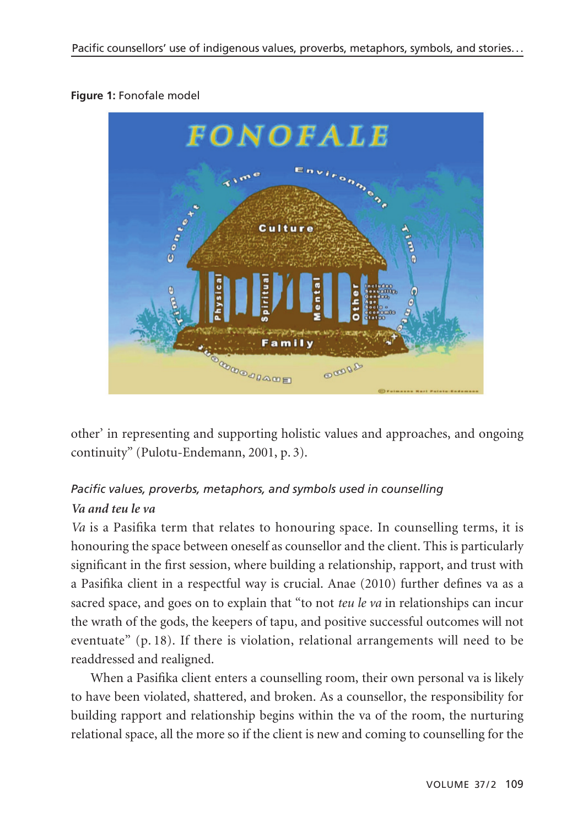#### **Figure 1:** Fonofale model



other' in representing and supporting holistic values and approaches, and ongoing continuity" (Pulotu-Endemann, 2001, p. 3).

# *Pacific values, proverbs, metaphors, and symbols used in counselling Va and teu le va*

*Va* is a Pasifika term that relates to honouring space. In counselling terms, it is honouring the space between oneself as counsellor and the client. This is particularly significant in the first session, where building a relationship, rapport, and trust with a Pasifika client in a respectful way is crucial. Anae (2010) further defines va as a sacred space, and goes on to explain that "to not *teu le va* in relationships can incur the wrath of the gods, the keepers of tapu, and positive successful outcomes will not eventuate" (p. 18). If there is violation, relational arrangements will need to be readdressed and realigned.

When a Pasifika client enters a counselling room, their own personal va is likely to have been violated, shattered, and broken. As a counsellor, the responsibility for building rapport and relationship begins within the va of the room, the nurturing relational space, all the more so if the client is new and coming to counselling for the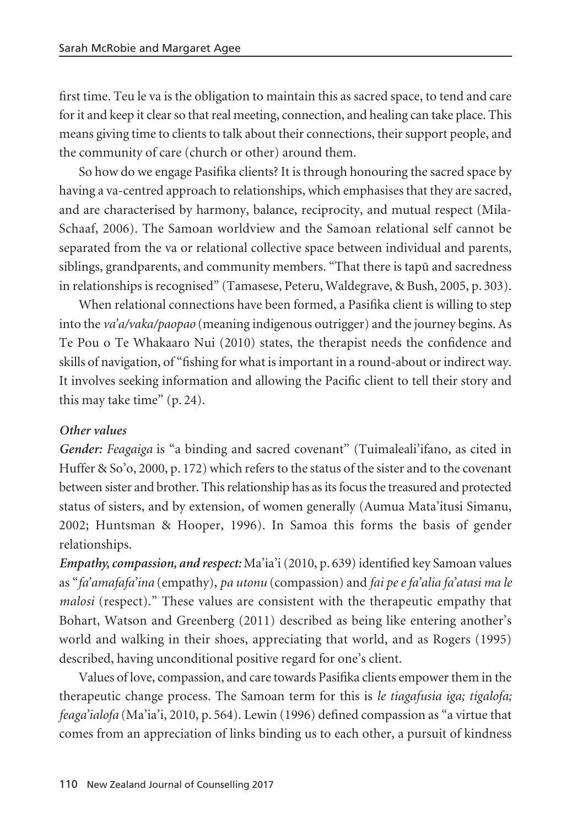first time. Teu le va is the obligation to maintain this as sacred space, to tend and care for it and keep it clear so that real meeting, connection, and healing can take place. This means giving time to clients to talk about their connections, their support people, and the community of care (church or other) around them.

So how do we engage Pasifika clients? It is through honouring the sacred space by having a va-centred approach to relationships, which emphasises that they are sacred, and are characterised by harmony, balance, reciprocity, and mutual respect (Mila-Schaaf, 2006). The Samoan worldview and the Samoan relational self cannot be separated from the va or relational collective space between individual and parents, siblings, grandparents, and community members. "That there is tapü and sacredness in relationships is recognised" (Tamasese, Peteru, Waldegrave, & Bush, 2005, p. 303).

When relational connections have been formed, a Pasifika client is willing to step into the *va'a/vaka/paopao* (meaning indigenous outrigger) and the journey begins. As Te Pou o Te Whakaaro Nui (2010) states, the therapist needs the confidence and skills of navigation, of "fishing for what is important in a round-about or indirect way. It involves seeking information and allowing the Pacific client to tell their story and this may take time" (p. 24).

## *Other values*

*Gender: Feagaiga* is "a binding and sacred covenant" (Tuimaleali'ifano, as cited in Huffer & So'o, 2000, p. 172) which refers to the status of the sister and to the covenant between sister and brother. This relationship has as its focus the treasured and protected status of sisters, and by extension, of women generally (Aumua Mata'itusi Simanu, 2002; Huntsman & Hooper, 1996). In Samoa this forms the basis of gender relationships.

*Empathy, compassion, and respect:* Ma'ia'i (2010, p. 639) identified key Samoan values as "*fa'amafafa'ina* (empathy), *pa utonu* (compassion) and *fai pe e fa'alia fa'atasi ma le malosi* (respect)." These values are consistent with the therapeutic empathy that Bohart, Watson and Greenberg (2011) described as being like entering another's world and walking in their shoes, appreciating that world, and as Rogers (1995) described, having unconditional positive regard for one's client.

Values of love, compassion, and care towards Pasifika clients empower them in the therapeutic change process. The Samoan term for this is *le tiagafusia iga; tigalofa; feaga'ialofa* (Ma'ia'i, 2010, p. 564). Lewin (1996) defined compassion as "a virtue that comes from an appreciation of links binding us to each other, a pursuit of kindness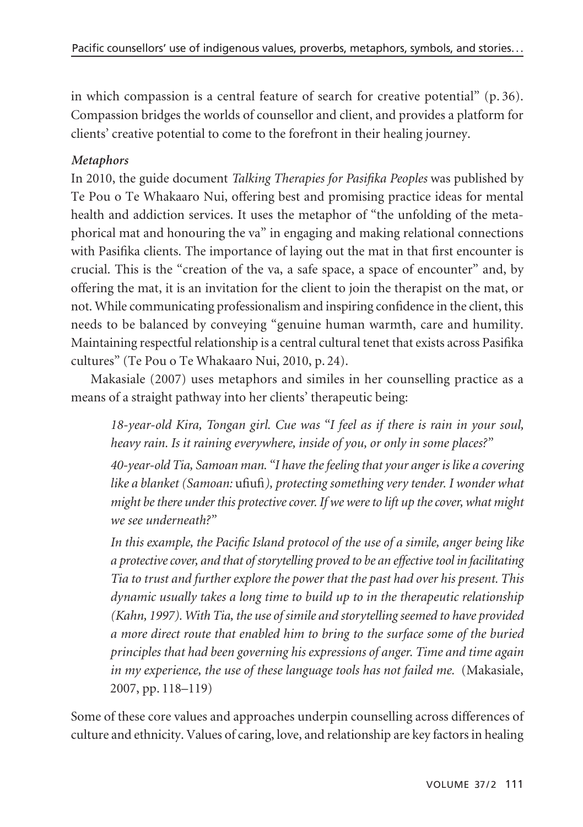in which compassion is a central feature of search for creative potential" (p. 36). Compassion bridges the worlds of counsellor and client, and provides a platform for clients' creative potential to come to the forefront in their healing journey.

#### *Metaphors*

In 2010, the guide document *Talking Therapies for Pasifika Peoples* was published by Te Pou o Te Whakaaro Nui, offering best and promising practice ideas for mental health and addiction services. It uses the metaphor of "the unfolding of the metaphorical mat and honouring the va" in engaging and making relational connections with Pasifika clients. The importance of laying out the mat in that first encounter is crucial. This is the "creation of the va, a safe space, a space of encounter" and, by offering the mat, it is an invitation for the client to join the therapist on the mat, or not. While communicating professionalism and inspiring confidence in the client, this needs to be balanced by conveying "genuine human warmth, care and humility. Maintaining respectful relationship is a central cultural tenet that exists across Pasifika cultures" (Te Pou o Te Whakaaro Nui, 2010, p. 24).

Makasiale (2007) uses metaphors and similes in her counselling practice as a means of a straight pathway into her clients' therapeutic being:

*18-year-old Kira, Tongan girl. Cue was "I feel as if there is rain in your soul, heavy rain. Is it raining everywhere, inside of you, or only in some places?"* 

*40-year-old Tia, Samoan man. "I have the feeling that your anger is like a covering like a blanket (Samoan:* ufiufi*), protecting something very tender. I wonder what might be there under this protective cover. If we were to lift up the cover, what might we see underneath?"*

*In this example, the Pacific Island protocol of the use of a simile, anger being like a protective cover, and that of storytelling proved to be an effective tool in facilitating Tia to trust and further explore the power that the past had over his present. This dynamic usually takes a long time to build up to in the therapeutic relationship (Kahn, 1997). With Tia, the use of simile and storytelling seemed to have provided a more direct route that enabled him to bring to the surface some of the buried principles that had been governing his expressions of anger. Time and time again in my experience, the use of these language tools has not failed me.* (Makasiale, 2007, pp. 118–119)

Some of these core values and approaches underpin counselling across differences of culture and ethnicity. Values of caring, love, and relationship are key factors in healing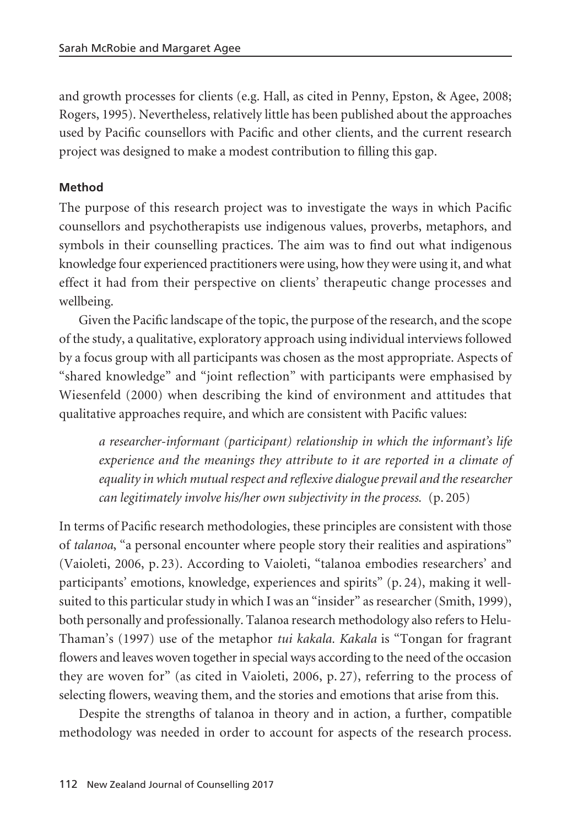and growth processes for clients (e.g. Hall, as cited in Penny, Epston, & Agee, 2008; Rogers, 1995). Nevertheless, relatively little has been published about the approaches used by Pacific counsellors with Pacific and other clients, and the current research project was designed to make a modest contribution to filling this gap.

#### **Method**

The purpose of this research project was to investigate the ways in which Pacific counsellors and psychotherapists use indigenous values, proverbs, metaphors, and symbols in their counselling practices. The aim was to find out what indigenous knowledge four experienced practitioners were using, how they were using it, and what effect it had from their perspective on clients' therapeutic change processes and wellbeing.

Given the Pacific landscape of the topic, the purpose of the research, and the scope of the study, a qualitative, exploratory approach using individual interviews followed by a focus group with all participants was chosen as the most appropriate. Aspects of "shared knowledge" and "joint reflection" with participants were emphasised by Wiesenfeld (2000) when describing the kind of environment and attitudes that qualitative approaches require, and which are consistent with Pacific values:

*a researcher-informant (participant) relationship in which the informant's life experience and the meanings they attribute to it are reported in a climate of equality in which mutual respect and reflexive dialogue prevail and the researcher can legitimately involve his/her own subjectivity in the process.* (p. 205)

In terms of Pacific research methodologies, these principles are consistent with those of *talanoa*, "a personal encounter where people story their realities and aspirations" (Vaioleti, 2006, p. 23). According to Vaioleti, "talanoa embodies researchers' and participants' emotions, knowledge, experiences and spirits" (p. 24), making it wellsuited to this particular study in which I was an "insider" as researcher (Smith, 1999), both personally and professionally. Talanoa research methodology also refers to Helu-Thaman's (1997) use of the metaphor *tui kakala. Kakala* is "Tongan for fragrant flowers and leaves woven together in special ways according to the need of the occasion they are woven for" (as cited in Vaioleti, 2006, p. 27), referring to the process of selecting flowers, weaving them, and the stories and emotions that arise from this.

Despite the strengths of talanoa in theory and in action, a further, compatible methodology was needed in order to account for aspects of the research process.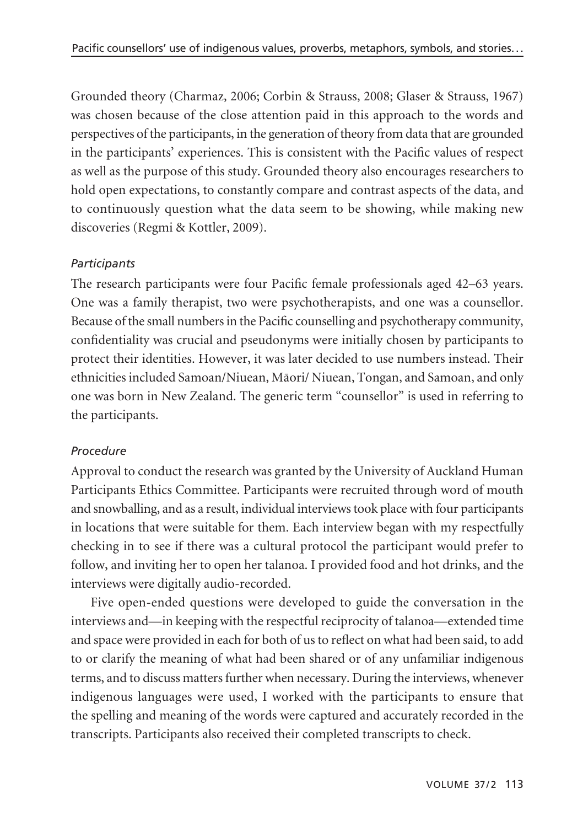Grounded theory (Charmaz, 2006; Corbin & Strauss, 2008; Glaser & Strauss, 1967) was chosen because of the close attention paid in this approach to the words and perspectives of the participants, in the generation of theory from data that are grounded in the participants' experiences. This is consistent with the Pacific values of respect as well as the purpose of this study. Grounded theory also encourages researchers to hold open expectations, to constantly compare and contrast aspects of the data, and to continuously question what the data seem to be showing, while making new discoveries (Regmi & Kottler, 2009).

#### *Participants*

The research participants were four Pacific female professionals aged 42–63 years. One was a family therapist, two were psychotherapists, and one was a counsellor. Because of the small numbers in the Pacific counselling and psychotherapy community, confidentiality was crucial and pseudonyms were initially chosen by participants to protect their identities. However, it was later decided to use numbers instead. Their ethnicities included Samoan/Niuean, Mäori/ Niuean, Tongan, and Samoan, and only one was born in New Zealand. The generic term "counsellor" is used in referring to the participants.

# *Procedure*

Approval to conduct the research was granted by the University of Auckland Human Participants Ethics Committee. Participants were recruited through word of mouth and snowballing, and as a result, individual interviews took place with four participants in locations that were suitable for them. Each interview began with my respectfully checking in to see if there was a cultural protocol the participant would prefer to follow, and inviting her to open her talanoa. I provided food and hot drinks, and the interviews were digitally audio-recorded.

Five open-ended questions were developed to guide the conversation in the interviews and—in keeping with the respectful reciprocity of talanoa—extended time and space were provided in each for both of us to reflect on what had been said, to add to or clarify the meaning of what had been shared or of any unfamiliar indigenous terms, and to discuss matters further when necessary. During the interviews, whenever indigenous languages were used, I worked with the participants to ensure that the spelling and meaning of the words were captured and accurately recorded in the transcripts. Participants also received their completed transcripts to check.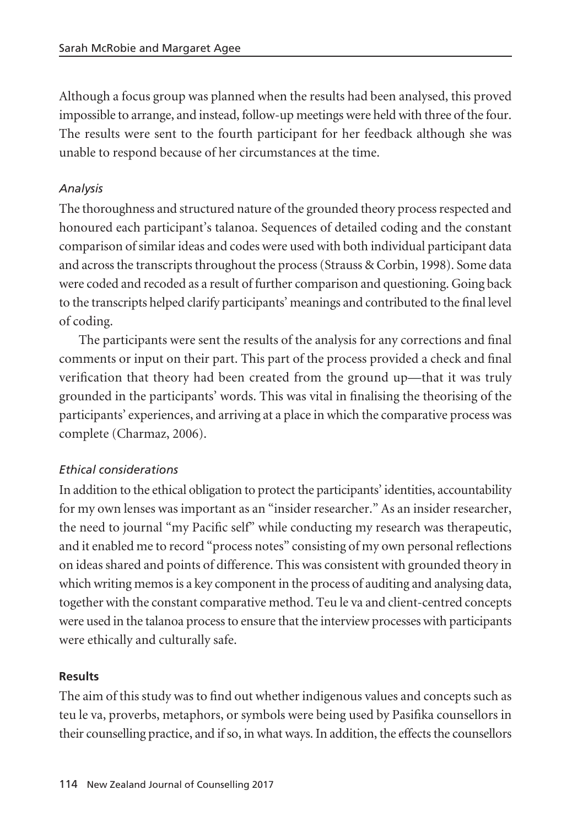Although a focus group was planned when the results had been analysed, this proved impossible to arrange, and instead, follow-up meetings were held with three of the four. The results were sent to the fourth participant for her feedback although she was unable to respond because of her circumstances at the time.

## *Analysis*

The thoroughness and structured nature of the grounded theory process respected and honoured each participant's talanoa. Sequences of detailed coding and the constant comparison of similar ideas and codes were used with both individual participant data and across the transcripts throughout the process (Strauss & Corbin, 1998). Some data were coded and recoded as a result of further comparison and questioning. Going back to the transcripts helped clarify participants' meanings and contributed to the final level of coding.

The participants were sent the results of the analysis for any corrections and final comments or input on their part. This part of the process provided a check and final verification that theory had been created from the ground up—that it was truly grounded in the participants' words. This was vital in finalising the theorising of the participants' experiences, and arriving at a place in which the comparative process was complete (Charmaz, 2006).

#### *Ethical considerations*

In addition to the ethical obligation to protect the participants' identities, accountability for my own lenses was important as an "insider researcher." As an insider researcher, the need to journal "my Pacific self" while conducting my research was therapeutic, and it enabled me to record "process notes" consisting of my own personal reflections on ideas shared and points of difference. This was consistent with grounded theory in which writing memos is a key component in the process of auditing and analysing data, together with the constant comparative method. Teu le va and client-centred concepts were used in the talanoa process to ensure that the interview processes with participants were ethically and culturally safe.

#### **Results**

The aim of this study was to find out whether indigenous values and concepts such as teu le va, proverbs, metaphors, or symbols were being used by Pasifika counsellors in their counselling practice, and if so, in what ways. In addition, the effects the counsellors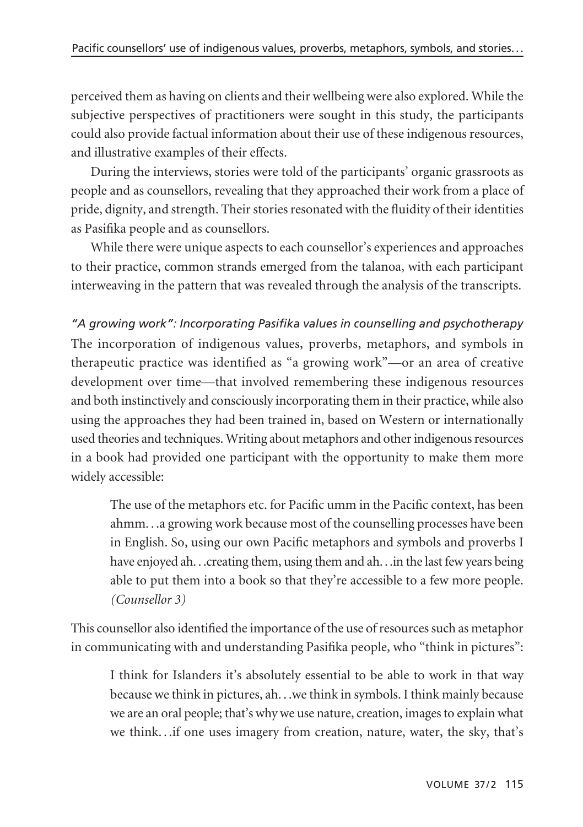perceived them as having on clients and their wellbeing were also explored. While the subjective perspectives of practitioners were sought in this study, the participants could also provide factual information about their use of these indigenous resources, and illustrative examples of their effects.

During the interviews, stories were told of the participants' organic grassroots as people and as counsellors, revealing that they approached their work from a place of pride, dignity, and strength. Their stories resonated with the fluidity of their identities as Pasifika people and as counsellors.

While there were unique aspects to each counsellor's experiences and approaches to their practice, common strands emerged from the talanoa, with each participant interweaving in the pattern that was revealed through the analysis of the transcripts.

*"A growing work": Incorporating Pasifika values in counselling and psychotherapy* The incorporation of indigenous values, proverbs, metaphors, and symbols in therapeutic practice was identified as "a growing work"—or an area of creative development over time—that involved remembering these indigenous resources and both instinctively and consciously incorporating them in their practice, while also using the approaches they had been trained in, based on Western or internationally used theories and techniques. Writing about metaphors and other indigenous resources in a book had provided one participant with the opportunity to make them more widely accessible:

The use of the metaphors etc. for Pacific umm in the Pacific context, has been ahmm. . .a growing work because most of the counselling processes have been in English. So, using our own Pacific metaphors and symbols and proverbs I have enjoyed ah. . .creating them, using them and ah. . .in the last few years being able to put them into a book so that they're accessible to a few more people. *(Counsellor 3)*

This counsellor also identified the importance of the use of resources such as metaphor in communicating with and understanding Pasifika people, who "think in pictures":

I think for Islanders it's absolutely essential to be able to work in that way because we think in pictures, ah. . .we think in symbols. I think mainly because we are an oral people; that's why we use nature, creation, images to explain what we think. . .if one uses imagery from creation, nature, water, the sky, that's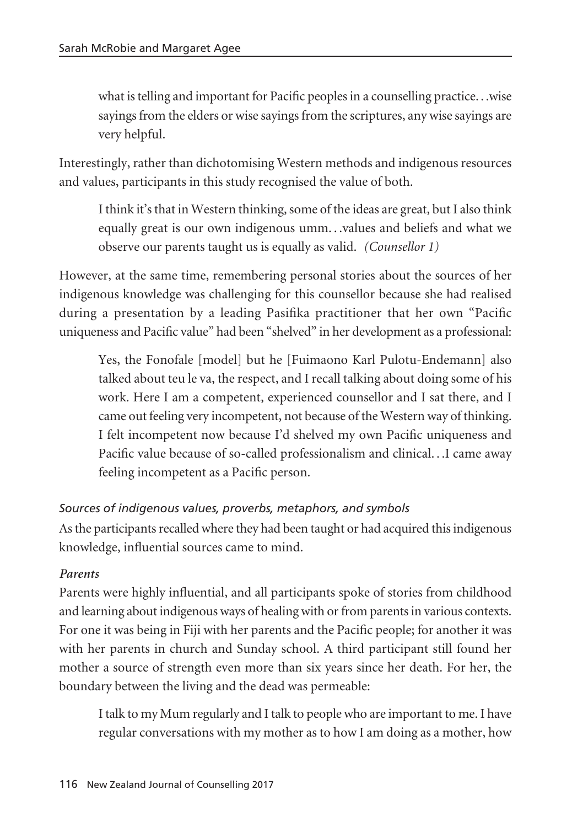what is telling and important for Pacific peoples in a counselling practice. . .wise sayings from the elders or wise sayings from the scriptures, any wise sayings are very helpful.

Interestingly, rather than dichotomising Western methods and indigenous resources and values, participants in this study recognised the value of both.

I think it's that in Western thinking, some of the ideas are great, but I also think equally great is our own indigenous umm. . .values and beliefs and what we observe our parents taught us is equally as valid. *(Counsellor 1)*

However, at the same time, remembering personal stories about the sources of her indigenous knowledge was challenging for this counsellor because she had realised during a presentation by a leading Pasifika practitioner that her own "Pacific uniqueness and Pacific value" had been "shelved" in her development as a professional:

Yes, the Fonofale [model] but he [Fuimaono Karl Pulotu-Endemann] also talked about teu le va, the respect, and I recall talking about doing some of his work. Here I am a competent, experienced counsellor and I sat there, and I came out feeling very incompetent, not because of the Western way of thinking. I felt incompetent now because I'd shelved my own Pacific uniqueness and Pacific value because of so-called professionalism and clinical. . .I came away feeling incompetent as a Pacific person.

# *Sources of indigenous values, proverbs, metaphors, and symbols*

As the participants recalled where they had been taught or had acquired this indigenous knowledge, influential sources came to mind.

#### *Parents*

Parents were highly influential, and all participants spoke of stories from childhood and learning about indigenous ways of healing with or from parents in various contexts. For one it was being in Fiji with her parents and the Pacific people; for another it was with her parents in church and Sunday school. A third participant still found her mother a source of strength even more than six years since her death. For her, the boundary between the living and the dead was permeable:

I talk to my Mum regularly and I talk to people who are important to me. I have regular conversations with my mother as to how I am doing as a mother, how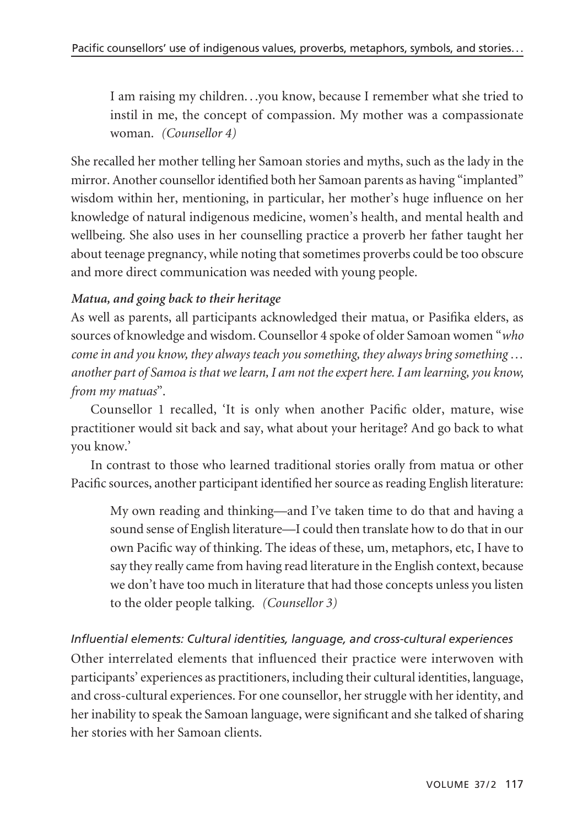I am raising my children. . .you know, because I remember what she tried to instil in me, the concept of compassion. My mother was a compassionate woman. *(Counsellor 4)*

She recalled her mother telling her Samoan stories and myths, such as the lady in the mirror. Another counsellor identified both her Samoan parents as having "implanted" wisdom within her, mentioning, in particular, her mother's huge influence on her knowledge of natural indigenous medicine, women's health, and mental health and wellbeing. She also uses in her counselling practice a proverb her father taught her about teenage pregnancy, while noting that sometimes proverbs could be too obscure and more direct communication was needed with young people.

#### *Matua, and going back to their heritage*

As well as parents, all participants acknowledged their matua, or Pasifika elders, as sources of knowledge and wisdom. Counsellor 4 spoke of older Samoan women "*who come in and you know, they always teach you something, they always bring something … another part of Samoa is that we learn, I am not the expert here. I am learning, you know, from my matuas*".

Counsellor 1 recalled, 'It is only when another Pacific older, mature, wise practitioner would sit back and say, what about your heritage? And go back to what you know.'

In contrast to those who learned traditional stories orally from matua or other Pacific sources, another participant identified her source as reading English literature:

My own reading and thinking—and I've taken time to do that and having a sound sense of English literature—I could then translate how to do that in our own Pacific way of thinking. The ideas of these, um, metaphors, etc, I have to say they really came from having read literature in the English context, because we don't have too much in literature that had those concepts unless you listen to the older people talking. *(Counsellor 3)*

#### *Influential elements: Cultural identities, language, and cross-cultural experiences*

Other interrelated elements that influenced their practice were interwoven with participants' experiences as practitioners, including their cultural identities, language, and cross-cultural experiences. For one counsellor, her struggle with her identity, and her inability to speak the Samoan language, were significant and she talked of sharing her stories with her Samoan clients.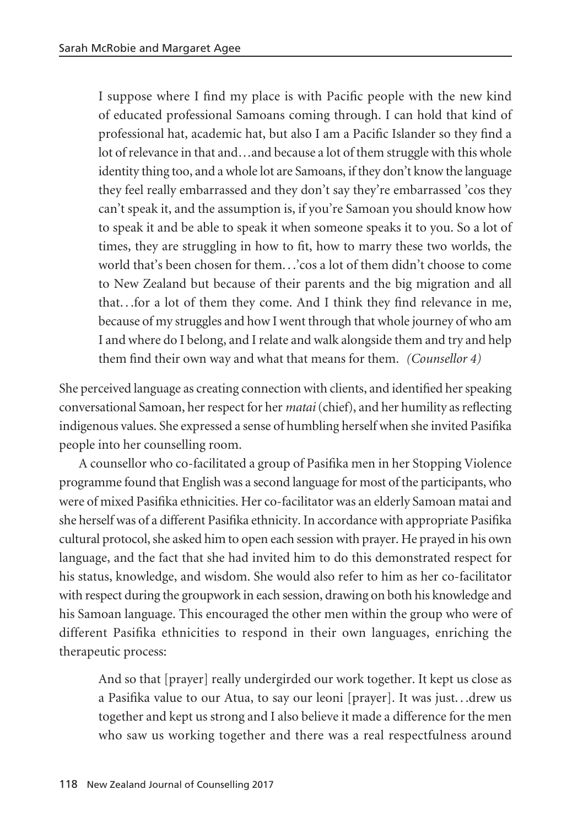I suppose where I find my place is with Pacific people with the new kind of educated professional Samoans coming through. I can hold that kind of professional hat, academic hat, but also I am a Pacific Islander so they find a lot of relevance in that and…and because a lot of them struggle with this whole identity thing too, and a whole lot are Samoans, if they don't know the language they feel really embarrassed and they don't say they're embarrassed 'cos they can't speak it, and the assumption is, if you're Samoan you should know how to speak it and be able to speak it when someone speaks it to you. So a lot of times, they are struggling in how to fit, how to marry these two worlds, the world that's been chosen for them. . .'cos a lot of them didn't choose to come to New Zealand but because of their parents and the big migration and all that. . .for a lot of them they come. And I think they find relevance in me, because of my struggles and how I went through that whole journey of who am I and where do I belong, and I relate and walk alongside them and try and help them find their own way and what that means for them. *(Counsellor 4)*

She perceived language as creating connection with clients, and identified her speaking conversational Samoan, her respect for her *matai* (chief), and her humility as reflecting indigenous values. She expressed a sense of humbling herself when she invited Pasifika people into her counselling room.

A counsellor who co-facilitated a group of Pasifika men in her Stopping Violence programme found that English was a second language for most of the participants, who were of mixed Pasifika ethnicities. Her co-facilitator was an elderly Samoan matai and she herself was of a different Pasifika ethnicity. In accordance with appropriate Pasifika cultural protocol, she asked him to open each session with prayer. He prayed in his own language, and the fact that she had invited him to do this demonstrated respect for his status, knowledge, and wisdom. She would also refer to him as her co-facilitator with respect during the groupwork in each session, drawing on both his knowledge and his Samoan language. This encouraged the other men within the group who were of different Pasifika ethnicities to respond in their own languages, enriching the therapeutic process:

And so that [prayer] really undergirded our work together. It kept us close as a Pasifika value to our Atua, to say our leoni [prayer]. It was just. . .drew us together and kept us strong and I also believe it made a difference for the men who saw us working together and there was a real respectfulness around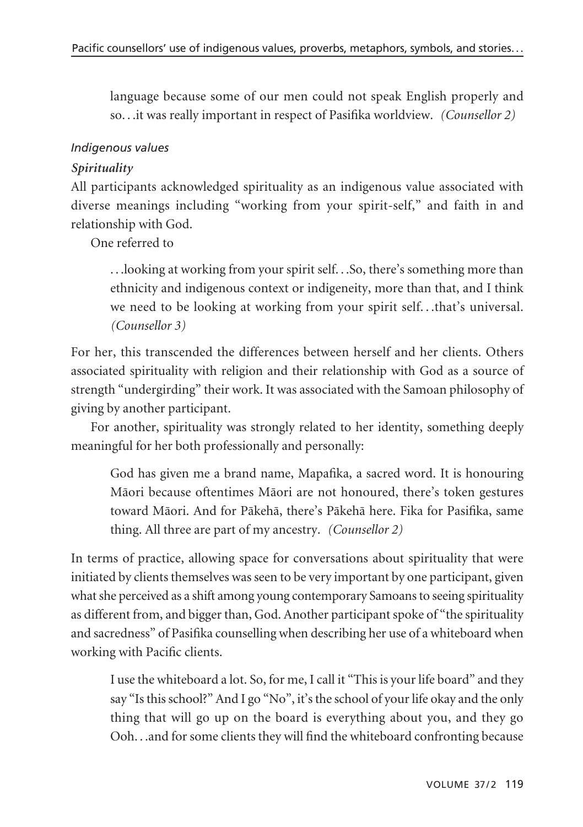language because some of our men could not speak English properly and so. . .it was really important in respect of Pasifika worldview. *(Counsellor 2)*

#### *Indigenous values*

## *Spirituality*

All participants acknowledged spirituality as an indigenous value associated with diverse meanings including "working from your spirit-self," and faith in and relationship with God.

One referred to

. . .looking at working from your spirit self. . .So, there's something more than ethnicity and indigenous context or indigeneity, more than that, and I think we need to be looking at working from your spirit self. . .that's universal. *(Counsellor 3)*

For her, this transcended the differences between herself and her clients. Others associated spirituality with religion and their relationship with God as a source of strength "undergirding" their work. It was associated with the Samoan philosophy of giving by another participant.

For another, spirituality was strongly related to her identity, something deeply meaningful for her both professionally and personally:

God has given me a brand name, Mapafika, a sacred word. It is honouring Mäori because oftentimes Mäori are not honoured, there's token gestures toward Mäori. And for Päkehä, there's Päkehä here. Fika for Pasifika, same thing. All three are part of my ancestry. *(Counsellor 2)*

In terms of practice, allowing space for conversations about spirituality that were initiated by clients themselves was seen to be very important by one participant, given what she perceived as a shift among young contemporary Samoans to seeing spirituality as different from, and bigger than, God. Another participant spoke of "the spirituality and sacredness" of Pasifika counselling when describing her use of a whiteboard when working with Pacific clients.

I use the whiteboard a lot. So, for me, I call it "This is your life board" and they say "Is this school?" And I go "No", it's the school of your life okay and the only thing that will go up on the board is everything about you, and they go Ooh. . .and for some clients they will find the whiteboard confronting because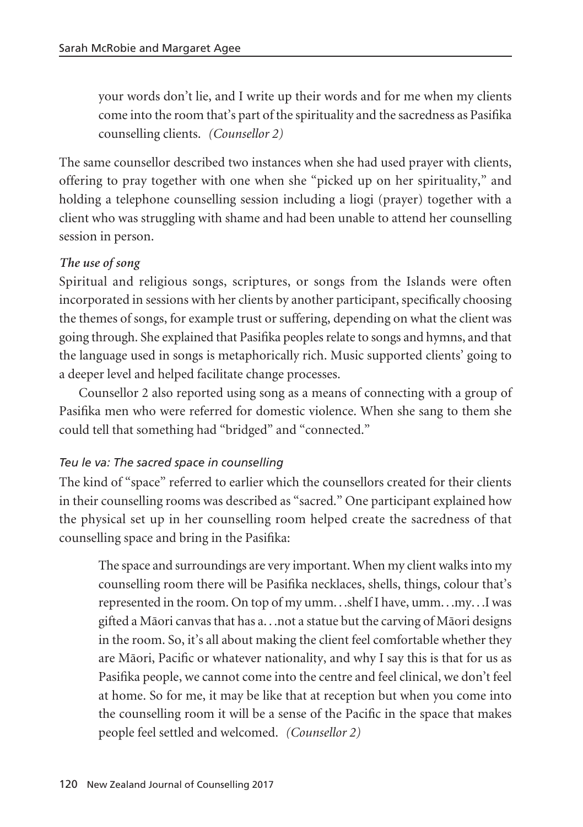your words don't lie, and I write up their words and for me when my clients come into the room that's part of the spirituality and the sacredness as Pasifika counselling clients. *(Counsellor 2)*

The same counsellor described two instances when she had used prayer with clients, offering to pray together with one when she "picked up on her spirituality," and holding a telephone counselling session including a liogi (prayer) together with a client who was struggling with shame and had been unable to attend her counselling session in person.

#### *The use of song*

Spiritual and religious songs, scriptures, or songs from the Islands were often incorporated in sessions with her clients by another participant, specifically choosing the themes of songs, for example trust or suffering, depending on what the client was going through. She explained that Pasifika peoples relate to songs and hymns, and that the language used in songs is metaphorically rich. Music supported clients' going to a deeper level and helped facilitate change processes.

Counsellor 2 also reported using song as a means of connecting with a group of Pasifika men who were referred for domestic violence. When she sang to them she could tell that something had "bridged" and "connected."

#### *Teu le va: The sacred space in counselling*

The kind of "space" referred to earlier which the counsellors created for their clients in their counselling rooms was described as "sacred." One participant explained how the physical set up in her counselling room helped create the sacredness of that counselling space and bring in the Pasifika:

The space and surroundings are very important. When my client walks into my counselling room there will be Pasifika necklaces, shells, things, colour that's represented in the room. On top of my umm. . .shelf I have, umm. . .my. . .I was gifted a Mäori canvas that has a. . .not a statue but the carving of Mäori designs in the room. So, it's all about making the client feel comfortable whether they are Mäori, Pacific or whatever nationality, and why I say this is that for us as Pasifika people, we cannot come into the centre and feel clinical, we don't feel at home. So for me, it may be like that at reception but when you come into the counselling room it will be a sense of the Pacific in the space that makes people feel settled and welcomed. *(Counsellor 2)*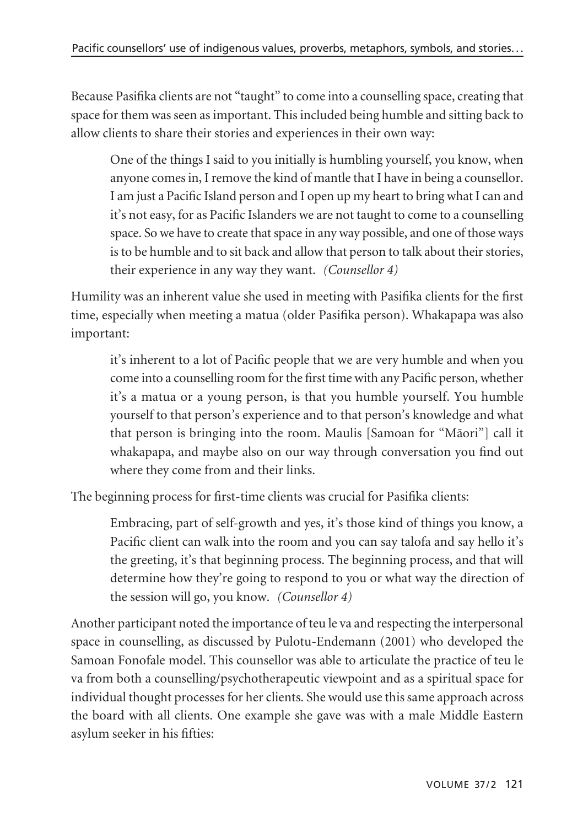Because Pasifika clients are not "taught" to come into a counselling space, creating that space for them was seen as important. This included being humble and sitting back to allow clients to share their stories and experiences in their own way:

One of the things I said to you initially is humbling yourself, you know, when anyone comes in, I remove the kind of mantle that I have in being a counsellor. I am just a Pacific Island person and I open up my heart to bring what I can and it's not easy, for as Pacific Islanders we are not taught to come to a counselling space. So we have to create that space in any way possible, and one of those ways is to be humble and to sit back and allow that person to talk about their stories, their experience in any way they want. *(Counsellor 4)*

Humility was an inherent value she used in meeting with Pasifika clients for the first time, especially when meeting a matua (older Pasifika person). Whakapapa was also important:

it's inherent to a lot of Pacific people that we are very humble and when you come into a counselling room for the first time with any Pacific person, whether it's a matua or a young person, is that you humble yourself. You humble yourself to that person's experience and to that person's knowledge and what that person is bringing into the room. Maulis [Samoan for "Mäori"] call it whakapapa, and maybe also on our way through conversation you find out where they come from and their links.

The beginning process for first-time clients was crucial for Pasifika clients:

Embracing, part of self-growth and yes, it's those kind of things you know, a Pacific client can walk into the room and you can say talofa and say hello it's the greeting, it's that beginning process. The beginning process, and that will determine how they're going to respond to you or what way the direction of the session will go, you know. *(Counsellor 4)*

Another participant noted the importance of teu le va and respecting the interpersonal space in counselling, as discussed by Pulotu-Endemann (2001) who developed the Samoan Fonofale model. This counsellor was able to articulate the practice of teu le va from both a counselling/psychotherapeutic viewpoint and as a spiritual space for individual thought processes for her clients. She would use this same approach across the board with all clients. One example she gave was with a male Middle Eastern asylum seeker in his fifties: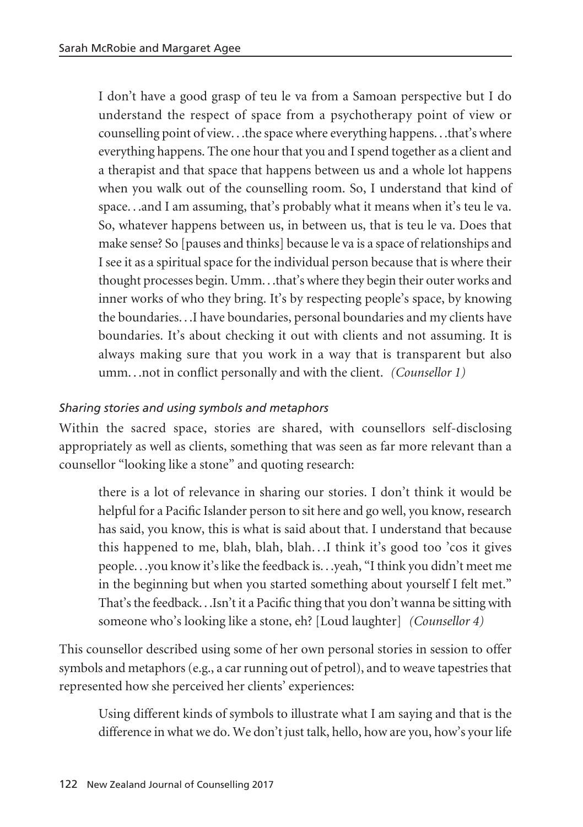I don't have a good grasp of teu le va from a Samoan perspective but I do understand the respect of space from a psychotherapy point of view or counselling point of view. . .the space where everything happens. . .that's where everything happens. The one hour that you and I spend together as a client and a therapist and that space that happens between us and a whole lot happens when you walk out of the counselling room. So, I understand that kind of space. . .and I am assuming, that's probably what it means when it's teu le va. So, whatever happens between us, in between us, that is teu le va. Does that make sense? So [pauses and thinks] because le va is a space of relationships and I see it as a spiritual space for the individual person because that is where their thought processes begin. Umm. . .that's where they begin their outer works and inner works of who they bring. It's by respecting people's space, by knowing the boundaries. . .I have boundaries, personal boundaries and my clients have boundaries. It's about checking it out with clients and not assuming. It is always making sure that you work in a way that is transparent but also umm. . .not in conflict personally and with the client. *(Counsellor 1)*

#### *Sharing stories and using symbols and metaphors*

Within the sacred space, stories are shared, with counsellors self-disclosing appropriately as well as clients, something that was seen as far more relevant than a counsellor "looking like a stone" and quoting research:

there is a lot of relevance in sharing our stories. I don't think it would be helpful for a Pacific Islander person to sit here and go well, you know, research has said, you know, this is what is said about that. I understand that because this happened to me, blah, blah, blah. . .I think it's good too 'cos it gives people. . .you know it's like the feedback is. . .yeah, "I think you didn't meet me in the beginning but when you started something about yourself I felt met." That's the feedback. . .Isn't it a Pacific thing that you don't wanna be sitting with someone who's looking like a stone, eh? [Loud laughter] *(Counsellor 4)*

This counsellor described using some of her own personal stories in session to offer symbols and metaphors (e.g., a car running out of petrol), and to weave tapestries that represented how she perceived her clients' experiences:

Using different kinds of symbols to illustrate what I am saying and that is the difference in what we do. We don't just talk, hello, how are you, how's your life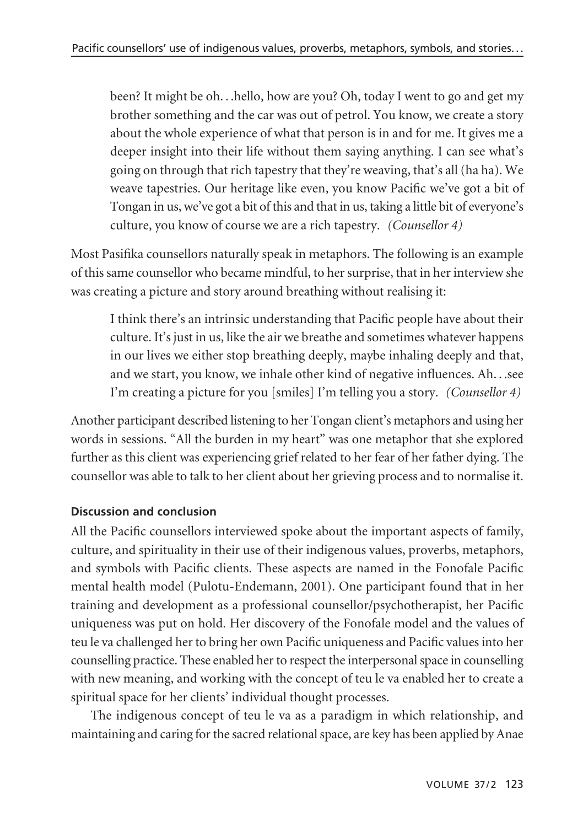been? It might be oh. . .hello, how are you? Oh, today I went to go and get my brother something and the car was out of petrol. You know, we create a story about the whole experience of what that person is in and for me. It gives me a deeper insight into their life without them saying anything. I can see what's going on through that rich tapestry that they're weaving, that's all (ha ha). We weave tapestries. Our heritage like even, you know Pacific we've got a bit of Tongan in us, we've got a bit of this and that in us, taking a little bit of everyone's culture, you know of course we are a rich tapestry. *(Counsellor 4)*

Most Pasifika counsellors naturally speak in metaphors. The following is an example of this same counsellor who became mindful, to her surprise, that in her interview she was creating a picture and story around breathing without realising it:

I think there's an intrinsic understanding that Pacific people have about their culture. It's just in us, like the air we breathe and sometimes whatever happens in our lives we either stop breathing deeply, maybe inhaling deeply and that, and we start, you know, we inhale other kind of negative influences. Ah. . .see I'm creating a picture for you [smiles] I'm telling you a story. *(Counsellor 4)*

Another participant described listening to her Tongan client's metaphors and using her words in sessions. "All the burden in my heart" was one metaphor that she explored further as this client was experiencing grief related to her fear of her father dying. The counsellor was able to talk to her client about her grieving process and to normalise it.

# **Discussion and conclusion**

All the Pacific counsellors interviewed spoke about the important aspects of family, culture, and spirituality in their use of their indigenous values, proverbs, metaphors, and symbols with Pacific clients. These aspects are named in the Fonofale Pacific mental health model (Pulotu-Endemann, 2001). One participant found that in her training and development as a professional counsellor/psychotherapist, her Pacific uniqueness was put on hold. Her discovery of the Fonofale model and the values of teu le va challenged her to bring her own Pacific uniqueness and Pacific values into her counselling practice. These enabled her to respect the interpersonal space in counselling with new meaning, and working with the concept of teu le va enabled her to create a spiritual space for her clients' individual thought processes.

The indigenous concept of teu le va as a paradigm in which relationship, and maintaining and caring for the sacred relational space, are key has been applied by Anae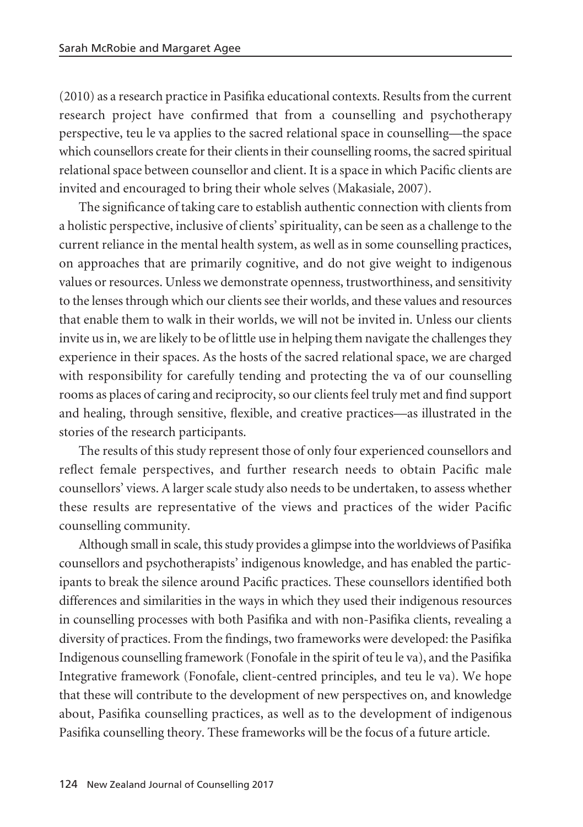(2010) as a research practice in Pasifika educational contexts. Results from the current research project have confirmed that from a counselling and psychotherapy perspective, teu le va applies to the sacred relational space in counselling—the space which counsellors create for their clients in their counselling rooms, the sacred spiritual relational space between counsellor and client. It is a space in which Pacific clients are invited and encouraged to bring their whole selves (Makasiale, 2007).

The significance of taking care to establish authentic connection with clients from a holistic perspective, inclusive of clients' spirituality, can be seen as a challenge to the current reliance in the mental health system, as well as in some counselling practices, on approaches that are primarily cognitive, and do not give weight to indigenous values or resources. Unless we demonstrate openness, trustworthiness, and sensitivity to the lenses through which our clients see their worlds, and these values and resources that enable them to walk in their worlds, we will not be invited in. Unless our clients invite us in, we are likely to be of little use in helping them navigate the challenges they experience in their spaces. As the hosts of the sacred relational space, we are charged with responsibility for carefully tending and protecting the va of our counselling rooms as places of caring and reciprocity, so our clients feel truly met and find support and healing, through sensitive, flexible, and creative practices—as illustrated in the stories of the research participants.

The results of this study represent those of only four experienced counsellors and reflect female perspectives, and further research needs to obtain Pacific male counsellors' views. A larger scale study also needs to be undertaken, to assess whether these results are representative of the views and practices of the wider Pacific counselling community.

Although small in scale, this study provides a glimpse into the worldviews of Pasifika counsellors and psychotherapists' indigenous knowledge, and has enabled the participants to break the silence around Pacific practices. These counsellors identified both differences and similarities in the ways in which they used their indigenous resources in counselling processes with both Pasifika and with non-Pasifika clients, revealing a diversity of practices. From the findings, two frameworks were developed: the Pasifika Indigenous counselling framework (Fonofale in the spirit of teu le va), and the Pasifika Integrative framework (Fonofale, client-centred principles, and teu le va). We hope that these will contribute to the development of new perspectives on, and knowledge about, Pasifika counselling practices, as well as to the development of indigenous Pasifika counselling theory. These frameworks will be the focus of a future article.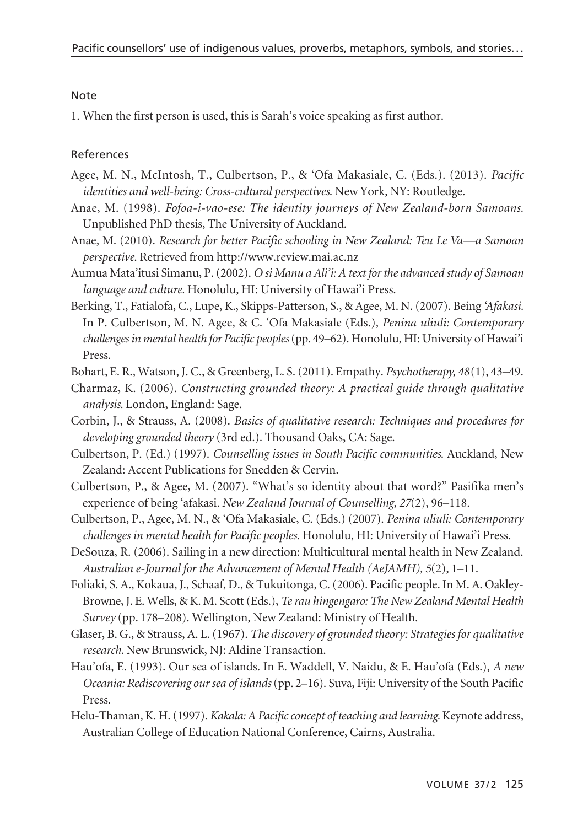#### Note

1. When the first person is used, this is Sarah's voice speaking as first author.

#### References

- Agee, M. N., McIntosh, T., Culbertson, P., & 'Ofa Makasiale, C. (Eds.). (2013). *Pacific identities and well-being: Cross-cultural perspectives*. New York, NY: Routledge.
- Anae, M. (1998). *Fofoa-i-vao-ese: The identity journeys of New Zealand-born Samoans.* Unpublished PhD thesis, The University of Auckland.
- Anae, M. (2010). *Research for better Pacific schooling in New Zealand: Teu Le Va—a Samoan perspective*. Retrieved from http://www.review.mai.ac.nz
- Aumua Mata'itusi Simanu, P. (2002). *O si Manu a Ali'i: A text for the advanced study of Samoan language and culture.* Honolulu, HI: University of Hawai'i Press.
- Berking, T., Fatialofa, C., Lupe, K., Skipps-Patterson, S., & Agee, M. N. (2007). Being *'Afakasi.* In P. Culbertson, M. N. Agee, & C. 'Ofa Makasiale (Eds.), *Penina uliuli: Contemporary challenges in mental health for Pacific peoples* (pp. 49–62). Honolulu, HI: University of Hawai'i Press.

Bohart, E. R., Watson, J. C., & Greenberg, L. S. (2011). Empathy. *Psychotherapy, 48*(1), 43–49.

- Charmaz, K. (2006). *Constructing grounded theory: A practical guide through qualitative analysis.* London, England: Sage.
- Corbin, J., & Strauss, A. (2008). *Basics of qualitative research: Techniques and procedures for developing grounded theory* (3rd ed.). Thousand Oaks, CA: Sage.
- Culbertson, P. (Ed.) (1997). *Counselling issues in South Pacific communities*. Auckland, New Zealand: Accent Publications for Snedden & Cervin.
- Culbertson, P., & Agee, M. (2007). "What's so identity about that word?" Pasifika men's experience of being 'afakasi*. New Zealand Journal of Counselling, 27*(2), 96–118.
- Culbertson, P., Agee, M. N., & 'Ofa Makasiale, C. (Eds.) (2007). *Penina uliuli: Contemporary challenges in mental health for Pacific peoples.* Honolulu, HI: University of Hawai'i Press.
- DeSouza, R. (2006). Sailing in a new direction: Multicultural mental health in New Zealand. *Australian e-Journal for the Advancement of Mental Health (AeJAMH), 5*(2), 1–11.
- Foliaki, S. A., Kokaua, J., Schaaf, D., & Tukuitonga, C. (2006). Pacific people. In M. A. Oakley-Browne, J. E. Wells, & K. M. Scott (Eds.), *Te rau hingengaro: The New Zealand Mental Health Survey* (pp. 178–208). Wellington, New Zealand: Ministry of Health.
- Glaser, B. G., & Strauss, A. L. (1967). *The discovery of grounded theory: Strategies for qualitative research.* New Brunswick, NJ: Aldine Transaction.
- Hau'ofa, E. (1993). Our sea of islands. In E. Waddell, V. Naidu, & E. Hau'ofa (Eds.), *A new Oceania: Rediscovering our sea of islands*(pp. 2–16). Suva, Fiji: University of the South Pacific Press.
- Helu-Thaman, K. H. (1997). *Kakala: A Pacific concept of teaching and learning.* Keynote address, Australian College of Education National Conference, Cairns, Australia.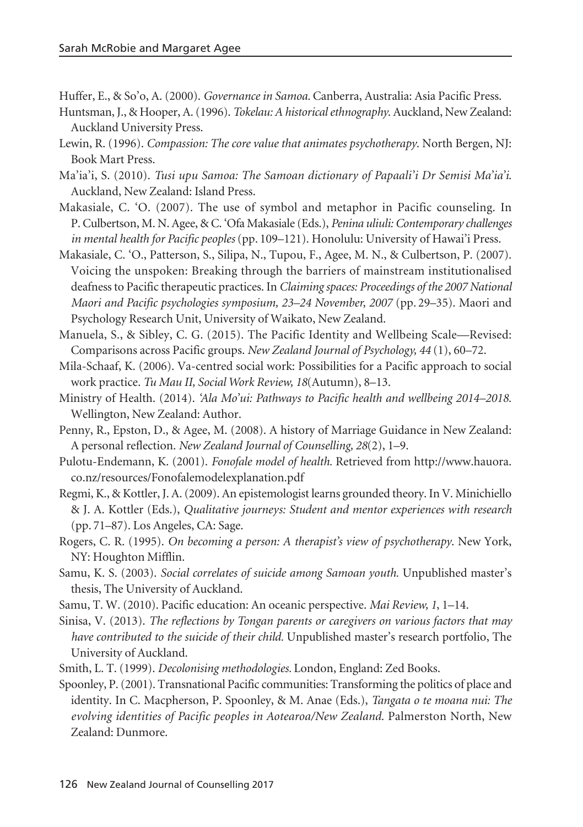Huffer, E., & So'o, A. (2000). *Governance in Samoa.* Canberra, Australia: Asia Pacific Press.

- Huntsman, J., & Hooper, A. (1996). *Tokelau: A historical ethnography*. Auckland, New Zealand: Auckland University Press.
- Lewin, R. (1996). *Compassion: The core value that animates psychotherapy*. North Bergen, NJ: Book Mart Press.
- Ma'ia'i, S. (2010). *Tusi upu Samoa: The Samoan dictionary of Papaali'i Dr Semisi Ma'ia'i*. Auckland, New Zealand: Island Press.
- Makasiale, C. 'O. (2007). The use of symbol and metaphor in Pacific counseling. In P. Culbertson, M. N. Agee, & C. 'Ofa Makasiale (Eds.), *Penina uliuli: Contemporary challenges in mental health for Pacific peoples* (pp. 109–121). Honolulu: University of Hawai'i Press.
- Makasiale, C. 'O., Patterson, S., Silipa, N., Tupou, F., Agee, M. N., & Culbertson, P. (2007). Voicing the unspoken: Breaking through the barriers of mainstream institutionalised deafness to Pacific therapeutic practices. In *Claiming spaces: Proceedings of the 2007 National Maori and Pacific psychologies symposium, 23–24 November, 2007* (pp. 29–35). Maori and Psychology Research Unit, University of Waikato, New Zealand.
- Manuela, S., & Sibley, C. G. (2015). The Pacific Identity and Wellbeing Scale—Revised: Comparisons across Pacific groups. *New Zealand Journal of Psychology, 44* (1), 60–72.
- Mila-Schaaf, K. (2006). Va-centred social work: Possibilities for a Pacific approach to social work practice. *Tu Mau II, Social Work Review, 18*(Autumn), 8–13.
- Ministry of Health. (2014). *'Ala Mo'ui: Pathways to Pacific health and wellbeing 2014–2018.* Wellington, New Zealand: Author.
- Penny, R., Epston, D., & Agee, M. (2008). A history of Marriage Guidance in New Zealand: A personal reflection. *New Zealand Journal of Counselling, 28*(2), 1–9.
- Pulotu-Endemann, K. (2001). *Fonofale model of health.* Retrieved from http://www.hauora. co.nz/resources/Fonofalemodelexplanation.pdf
- Regmi, K., & Kottler, J. A. (2009). An epistemologist learns grounded theory. In V. Minichiello & J. A. Kottler (Eds.), *Qualitative journeys: Student and mentor experiences with research* (pp. 71–87). Los Angeles, CA: Sage.
- Rogers, C. R. (1995). *On becoming a person: A therapist's view of psychotherapy*. New York, NY: Houghton Mifflin.
- Samu, K. S. (2003). *Social correlates of suicide among Samoan youth.* Unpublished master's thesis, The University of Auckland.
- Samu, T. W. (2010). Pacific education: An oceanic perspective. *Mai Review, 1*, 1–14.
- Sinisa, V. (2013). *The reflections by Tongan parents or caregivers on various factors that may have contributed to the suicide of their child.* Unpublished master's research portfolio, The University of Auckland.
- Smith, L. T. (1999). *Decolonising methodologies.* London, England: Zed Books.
- Spoonley, P. (2001). Transnational Pacific communities: Transforming the politics of place and identity. In C. Macpherson, P. Spoonley, & M. Anae (Eds.), *Tangata o te moana nui: The evolving identities of Pacific peoples in Aotearoa/New Zealand*. Palmerston North, New Zealand: Dunmore.